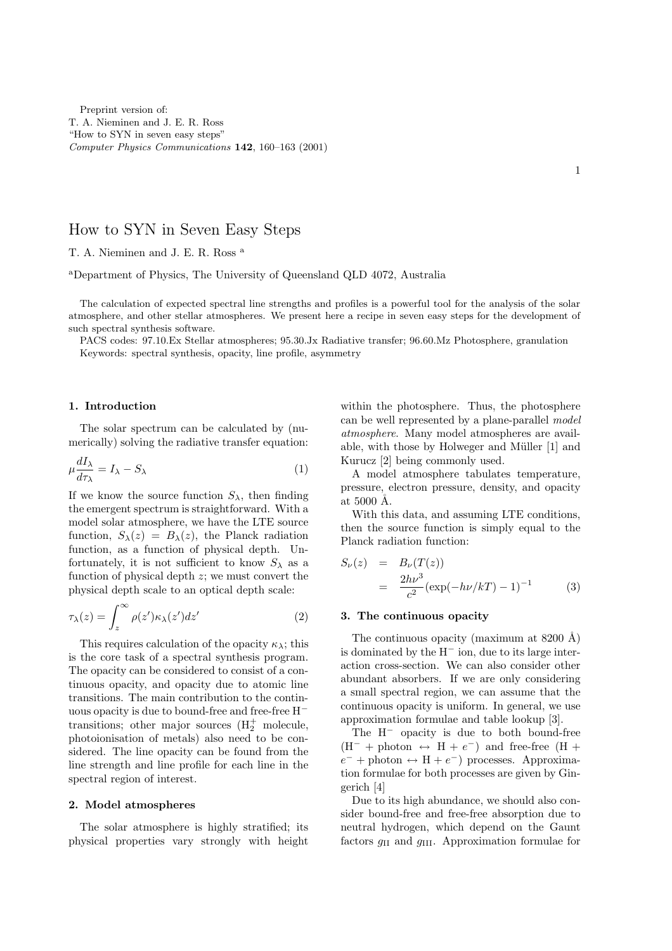Preprint version of: T. A. Nieminen and J. E. R. Ross "How to SYN in seven easy steps" Computer Physics Communications 142, 160–163 (2001)

# How to SYN in Seven Easy Steps

T. A. Nieminen and J. E. R. Ross <sup>a</sup>

<sup>a</sup>Department of Physics, The University of Queensland QLD 4072, Australia

The calculation of expected spectral line strengths and profiles is a powerful tool for the analysis of the solar atmosphere, and other stellar atmospheres. We present here a recipe in seven easy steps for the development of such spectral synthesis software.

PACS codes: 97.10.Ex Stellar atmospheres; 95.30.Jx Radiative transfer; 96.60.Mz Photosphere, granulation Keywords: spectral synthesis, opacity, line profile, asymmetry

#### 1. Introduction

The solar spectrum can be calculated by (numerically) solving the radiative transfer equation:

$$
\mu \frac{dI_{\lambda}}{d\tau_{\lambda}} = I_{\lambda} - S_{\lambda} \tag{1}
$$

If we know the source function  $S_{\lambda}$ , then finding the emergent spectrum is straightforward. With a model solar atmosphere, we have the LTE source function,  $S_{\lambda}(z) = B_{\lambda}(z)$ , the Planck radiation function, as a function of physical depth. Unfortunately, it is not sufficient to know  $S_{\lambda}$  as a function of physical depth  $z$ ; we must convert the physical depth scale to an optical depth scale:

$$
\tau_{\lambda}(z) = \int_{z}^{\infty} \rho(z') \kappa_{\lambda}(z') dz' \tag{2}
$$

This requires calculation of the opacity  $\kappa_{\lambda}$ ; this is the core task of a spectral synthesis program. The opacity can be considered to consist of a continuous opacity, and opacity due to atomic line transitions. The main contribution to the continuous opacity is due to bound-free and free-free H<sup>−</sup> transitions; other major sources  $(H_2^+$  molecule, photoionisation of metals) also need to be considered. The line opacity can be found from the line strength and line profile for each line in the spectral region of interest.

#### 2. Model atmospheres

The solar atmosphere is highly stratified; its physical properties vary strongly with height within the photosphere. Thus, the photosphere can be well represented by a plane-parallel model atmosphere. Many model atmospheres are available, with those by Holweger and Müller [1] and Kurucz [2] being commonly used.

A model atmosphere tabulates temperature, pressure, electron pressure, density, and opacity at  $5000$  Å.

With this data, and assuming LTE conditions, then the source function is simply equal to the Planck radiation function:

$$
S_{\nu}(z) = B_{\nu}(T(z))
$$
  
= 
$$
\frac{2h\nu^{3}}{c^{2}}(\exp(-h\nu/kT) - 1)^{-1}
$$
 (3)

### 3. The continuous opacity

The continuous opacity (maximum at  $8200 \text{ Å}$ ) is dominated by the H<sup>−</sup> ion, due to its large interaction cross-section. We can also consider other abundant absorbers. If we are only considering a small spectral region, we can assume that the continuous opacity is uniform. In general, we use approximation formulae and table lookup [3].

The H<sup>−</sup> opacity is due to both bound-free  $(H^- + \text{photon} \leftrightarrow H + e^-)$  and free-free  $(H +$  $e^-$  + photon ↔ H +  $e^-$ ) processes. Approximation formulae for both processes are given by Gingerich [4]

Due to its high abundance, we should also consider bound-free and free-free absorption due to neutral hydrogen, which depend on the Gaunt factors  $g_{\text{II}}$  and  $g_{\text{III}}$ . Approximation formulae for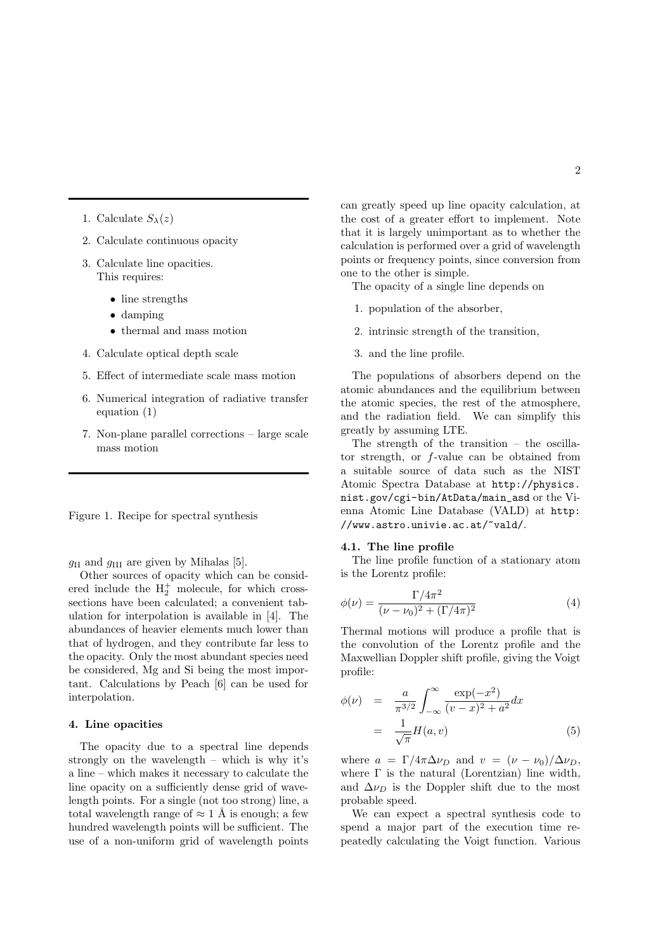- 1. Calculate  $S_{\lambda}(z)$
- 2. Calculate continuous opacity
- 3. Calculate line opacities. This requires:
	- line strengths
	- damping
	- thermal and mass motion
- 4. Calculate optical depth scale
- 5. Effect of intermediate scale mass motion
- 6. Numerical integration of radiative transfer equation (1)
- 7. Non-plane parallel corrections large scale mass motion

|  |  |  |  | Figure 1. Recipe for spectral synthesis |
|--|--|--|--|-----------------------------------------|
|--|--|--|--|-----------------------------------------|

 $g_{\text{II}}$  and  $g_{\text{III}}$  are given by Mihalas [5].

Other sources of opacity which can be considered include the  $H_2^+$  molecule, for which crosssections have been calculated; a convenient tabulation for interpolation is available in [4]. The abundances of heavier elements much lower than that of hydrogen, and they contribute far less to the opacity. Only the most abundant species need be considered, Mg and Si being the most important. Calculations by Peach [6] can be used for interpolation.

## 4. Line opacities

The opacity due to a spectral line depends strongly on the wavelength – which is why it's a line – which makes it necessary to calculate the line opacity on a sufficiently dense grid of wavelength points. For a single (not too strong) line, a total wavelength range of  $\approx 1$  Å is enough; a few hundred wavelength points will be sufficient. The use of a non-uniform grid of wavelength points can greatly speed up line opacity calculation, at the cost of a greater effort to implement. Note that it is largely unimportant as to whether the calculation is performed over a grid of wavelength points or frequency points, since conversion from one to the other is simple.

The opacity of a single line depends on

- 1. population of the absorber,
- 2. intrinsic strength of the transition,
- 3. and the line profile.

The populations of absorbers depend on the atomic abundances and the equilibrium between the atomic species, the rest of the atmosphere, and the radiation field. We can simplify this greatly by assuming LTE.

The strength of the transition – the oscillator strength, or f-value can be obtained from a suitable source of data such as the NIST Atomic Spectra Database at http://physics. nist.gov/cgi-bin/AtData/main\_asd or the Vienna Atomic Line Database (VALD) at http: //www.astro.univie.ac.at/~vald/.

#### 4.1. The line profile

The line profile function of a stationary atom is the Lorentz profile:

$$
\phi(\nu) = \frac{\Gamma/4\pi^2}{(\nu - \nu_0)^2 + (\Gamma/4\pi)^2}
$$
\n(4)

Thermal motions will produce a profile that is the convolution of the Lorentz profile and the Maxwellian Doppler shift profile, giving the Voigt profile:

$$
\phi(\nu) = \frac{a}{\pi^{3/2}} \int_{-\infty}^{\infty} \frac{\exp(-x^2)}{(v-x)^2 + a^2} dx \n= \frac{1}{\sqrt{\pi}} H(a, v)
$$
\n(5)

where  $a = \Gamma/4\pi \Delta \nu_D$  and  $v = (\nu - \nu_0)/\Delta \nu_D$ , where  $\Gamma$  is the natural (Lorentzian) line width, and  $\Delta \nu_D$  is the Doppler shift due to the most probable speed.

We can expect a spectral synthesis code to spend a major part of the execution time repeatedly calculating the Voigt function. Various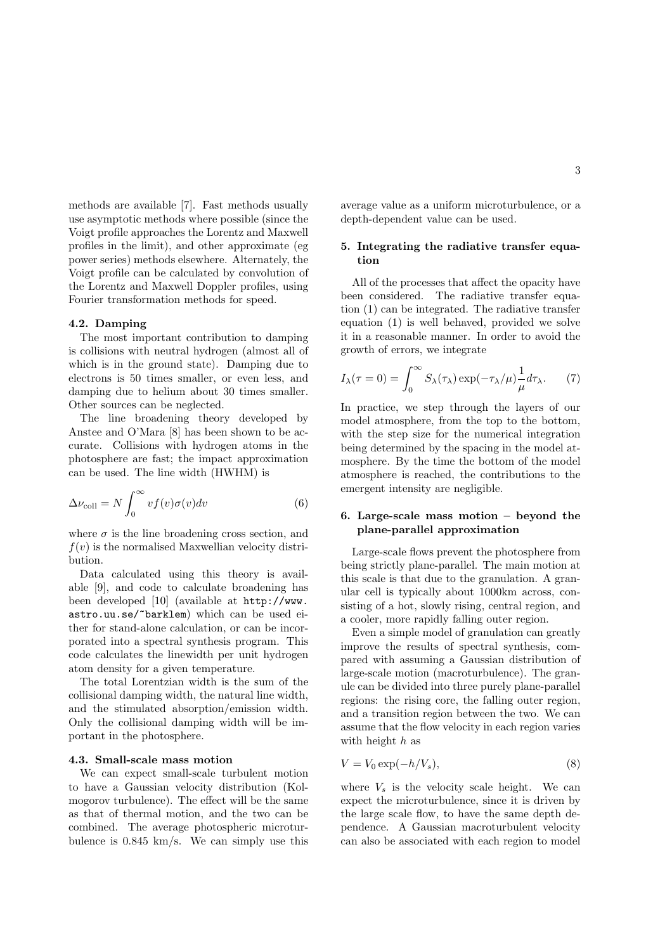methods are available [7]. Fast methods usually use asymptotic methods where possible (since the Voigt profile approaches the Lorentz and Maxwell profiles in the limit), and other approximate (eg power series) methods elsewhere. Alternately, the Voigt profile can be calculated by convolution of the Lorentz and Maxwell Doppler profiles, using Fourier transformation methods for speed.

#### 4.2. Damping

The most important contribution to damping is collisions with neutral hydrogen (almost all of which is in the ground state). Damping due to electrons is 50 times smaller, or even less, and damping due to helium about 30 times smaller. Other sources can be neglected.

The line broadening theory developed by Anstee and O'Mara [8] has been shown to be accurate. Collisions with hydrogen atoms in the photosphere are fast; the impact approximation can be used. The line width (HWHM) is

$$
\Delta \nu_{\text{coll}} = N \int_0^\infty v f(v) \sigma(v) dv \tag{6}
$$

where  $\sigma$  is the line broadening cross section, and  $f(v)$  is the normalised Maxwellian velocity distribution.

Data calculated using this theory is available [9], and code to calculate broadening has been developed [10] (available at http://www. astro.uu.se/~barklem) which can be used either for stand-alone calculation, or can be incorporated into a spectral synthesis program. This code calculates the linewidth per unit hydrogen atom density for a given temperature.

The total Lorentzian width is the sum of the collisional damping width, the natural line width, and the stimulated absorption/emission width. Only the collisional damping width will be important in the photosphere.

## 4.3. Small-scale mass motion

We can expect small-scale turbulent motion to have a Gaussian velocity distribution (Kolmogorov turbulence). The effect will be the same as that of thermal motion, and the two can be combined. The average photospheric microturbulence is 0.845 km/s. We can simply use this average value as a uniform microturbulence, or a depth-dependent value can be used.

## 5. Integrating the radiative transfer equation

All of the processes that affect the opacity have been considered. The radiative transfer equation (1) can be integrated. The radiative transfer equation (1) is well behaved, provided we solve it in a reasonable manner. In order to avoid the growth of errors, we integrate

$$
I_{\lambda}(\tau=0) = \int_0^{\infty} S_{\lambda}(\tau_{\lambda}) \exp(-\tau_{\lambda}/\mu) \frac{1}{\mu} d\tau_{\lambda}.
$$
 (7)

In practice, we step through the layers of our model atmosphere, from the top to the bottom, with the step size for the numerical integration being determined by the spacing in the model atmosphere. By the time the bottom of the model atmosphere is reached, the contributions to the emergent intensity are negligible.

## 6. Large-scale mass motion – beyond the plane-parallel approximation

Large-scale flows prevent the photosphere from being strictly plane-parallel. The main motion at this scale is that due to the granulation. A granular cell is typically about 1000km across, consisting of a hot, slowly rising, central region, and a cooler, more rapidly falling outer region.

Even a simple model of granulation can greatly improve the results of spectral synthesis, compared with assuming a Gaussian distribution of large-scale motion (macroturbulence). The granule can be divided into three purely plane-parallel regions: the rising core, the falling outer region, and a transition region between the two. We can assume that the flow velocity in each region varies with height  $h$  as

$$
V = V_0 \exp(-h/V_s), \tag{8}
$$

where  $V_s$  is the velocity scale height. We can expect the microturbulence, since it is driven by the large scale flow, to have the same depth dependence. A Gaussian macroturbulent velocity can also be associated with each region to model